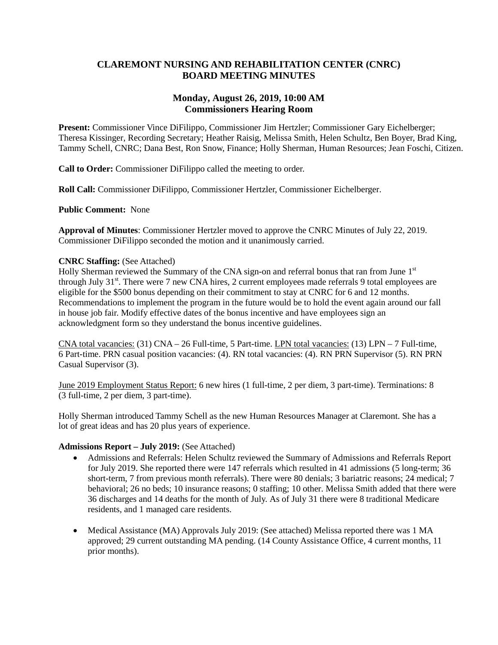### **CLAREMONT NURSING AND REHABILITATION CENTER (CNRC) BOARD MEETING MINUTES**

### **Monday, August 26, 2019, 10:00 AM Commissioners Hearing Room**

**Present:** Commissioner Vince DiFilippo, Commissioner Jim Hertzler; Commissioner Gary Eichelberger; Theresa Kissinger, Recording Secretary; Heather Raisig, Melissa Smith, Helen Schultz, Ben Boyer, Brad King, Tammy Schell, CNRC; Dana Best, Ron Snow, Finance; Holly Sherman, Human Resources; Jean Foschi, Citizen.

**Call to Order:** Commissioner DiFilippo called the meeting to order.

**Roll Call:** Commissioner DiFilippo, Commissioner Hertzler, Commissioner Eichelberger.

**Public Comment:** None

**Approval of Minutes**: Commissioner Hertzler moved to approve the CNRC Minutes of July 22, 2019. Commissioner DiFilippo seconded the motion and it unanimously carried.

#### **CNRC Staffing:** (See Attached)

Holly Sherman reviewed the Summary of the CNA sign-on and referral bonus that ran from June 1<sup>st</sup> through July 31<sup>st</sup>. There were 7 new CNA hires, 2 current employees made referrals 9 total employees are eligible for the \$500 bonus depending on their commitment to stay at CNRC for 6 and 12 months. Recommendations to implement the program in the future would be to hold the event again around our fall in house job fair. Modify effective dates of the bonus incentive and have employees sign an acknowledgment form so they understand the bonus incentive guidelines.

CNA total vacancies: (31) CNA – 26 Full-time, 5 Part-time. LPN total vacancies: (13) LPN – 7 Full-time, 6 Part-time. PRN casual position vacancies: (4). RN total vacancies: (4). RN PRN Supervisor (5). RN PRN Casual Supervisor (3).

June 2019 Employment Status Report: 6 new hires (1 full-time, 2 per diem, 3 part-time). Terminations: 8 (3 full-time, 2 per diem, 3 part-time).

Holly Sherman introduced Tammy Schell as the new Human Resources Manager at Claremont. She has a lot of great ideas and has 20 plus years of experience.

#### **Admissions Report – July 2019:** (See Attached)

- Admissions and Referrals: Helen Schultz reviewed the Summary of Admissions and Referrals Report for July 2019. She reported there were 147 referrals which resulted in 41 admissions (5 long-term; 36 short-term, 7 from previous month referrals). There were 80 denials; 3 bariatric reasons; 24 medical; 7 behavioral; 26 no beds; 10 insurance reasons; 0 staffing; 10 other. Melissa Smith added that there were 36 discharges and 14 deaths for the month of July. As of July 31 there were 8 traditional Medicare residents, and 1 managed care residents.
- Medical Assistance (MA) Approvals July 2019: (See attached) Melissa reported there was 1 MA approved; 29 current outstanding MA pending. (14 County Assistance Office, 4 current months, 11 prior months).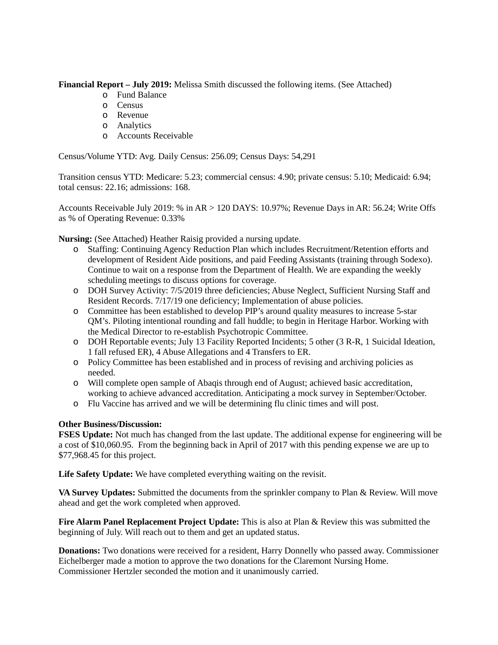**Financial Report – July 2019:** Melissa Smith discussed the following items. (See Attached)

- o Fund Balance
- o Census
- o Revenue
- o Analytics
- o Accounts Receivable

Census/Volume YTD: Avg. Daily Census: 256.09; Census Days: 54,291

Transition census YTD: Medicare: 5.23; commercial census: 4.90; private census: 5.10; Medicaid: 6.94; total census: 22.16; admissions: 168.

Accounts Receivable July 2019: % in AR > 120 DAYS: 10.97%; Revenue Days in AR: 56.24; Write Offs as % of Operating Revenue: 0.33%

**Nursing:** (See Attached) Heather Raisig provided a nursing update.

- o Staffing: Continuing Agency Reduction Plan which includes Recruitment/Retention efforts and development of Resident Aide positions, and paid Feeding Assistants (training through Sodexo). Continue to wait on a response from the Department of Health. We are expanding the weekly scheduling meetings to discuss options for coverage.
- o DOH Survey Activity: 7/5/2019 three deficiencies; Abuse Neglect, Sufficient Nursing Staff and Resident Records. 7/17/19 one deficiency; Implementation of abuse policies.
- o Committee has been established to develop PIP's around quality measures to increase 5-star QM's. Piloting intentional rounding and fall huddle; to begin in Heritage Harbor. Working with the Medical Director to re-establish Psychotropic Committee.
- o DOH Reportable events; July 13 Facility Reported Incidents; 5 other (3 R-R, 1 Suicidal Ideation, 1 fall refused ER), 4 Abuse Allegations and 4 Transfers to ER.
- o Policy Committee has been established and in process of revising and archiving policies as needed.
- o Will complete open sample of Abaqis through end of August; achieved basic accreditation, working to achieve advanced accreditation. Anticipating a mock survey in September/October.
- o Flu Vaccine has arrived and we will be determining flu clinic times and will post.

#### **Other Business/Discussion:**

**FSES Update:** Not much has changed from the last update. The additional expense for engineering will be a cost of \$10,060.95. From the beginning back in April of 2017 with this pending expense we are up to \$77,968.45 for this project.

**Life Safety Update:** We have completed everything waiting on the revisit.

**VA Survey Updates:** Submitted the documents from the sprinkler company to Plan & Review. Will move ahead and get the work completed when approved.

**Fire Alarm Panel Replacement Project Update:** This is also at Plan & Review this was submitted the beginning of July. Will reach out to them and get an updated status.

**Donations:** Two donations were received for a resident, Harry Donnelly who passed away. Commissioner Eichelberger made a motion to approve the two donations for the Claremont Nursing Home. Commissioner Hertzler seconded the motion and it unanimously carried.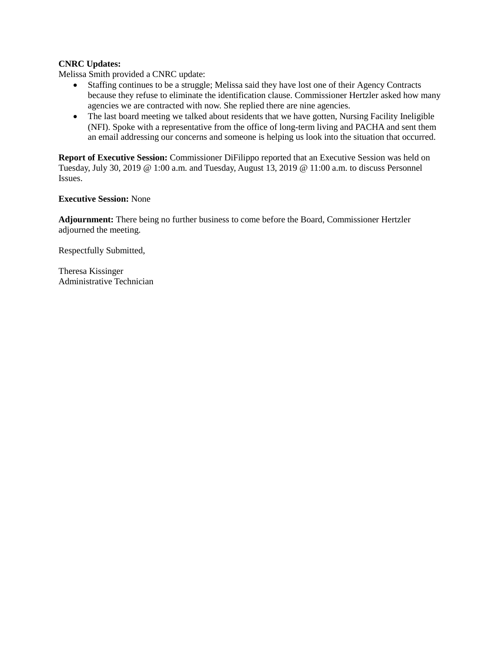### **CNRC Updates:**

Melissa Smith provided a CNRC update:

- Staffing continues to be a struggle; Melissa said they have lost one of their Agency Contracts because they refuse to eliminate the identification clause. Commissioner Hertzler asked how many agencies we are contracted with now. She replied there are nine agencies.
- The last board meeting we talked about residents that we have gotten, Nursing Facility Ineligible (NFI). Spoke with a representative from the office of long-term living and PACHA and sent them an email addressing our concerns and someone is helping us look into the situation that occurred.

**Report of Executive Session:** Commissioner DiFilippo reported that an Executive Session was held on Tuesday, July 30, 2019 @ 1:00 a.m. and Tuesday, August 13, 2019 @ 11:00 a.m. to discuss Personnel Issues.

#### **Executive Session:** None

**Adjournment:** There being no further business to come before the Board, Commissioner Hertzler adjourned the meeting.

Respectfully Submitted,

Theresa Kissinger Administrative Technician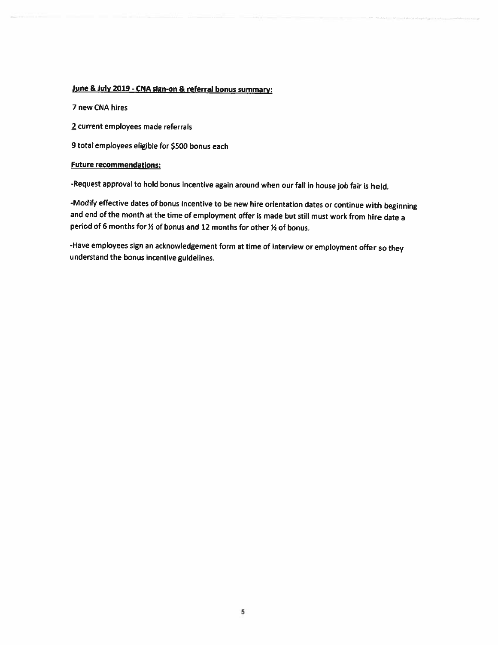### June & July 2019 - CNA sign-on & referral bonus summary:

7 new CNA hires

2 current employees made referrals

9 total employees eligible for \$500 bonus each

#### **Future recommendations:**

-Request approval to hold bonus incentive again around when our fall in house job fair is held.

-Modify effective dates of bonus incentive to be new hire orientation dates or continue with beginning and end of the month at the time of employment offer is made but still must work from hire date a period of 6 months for % of bonus and 12 months for other % of bonus.

-Have employees sign an acknowledgement form at time of interview or employment offer so they understand the bonus incentive guidelines.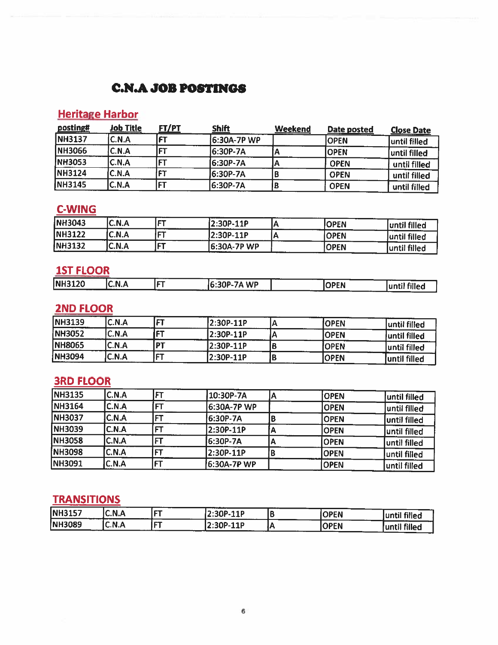# **C.N.A JOB POSTINGS**

# **Heritage Harbor**

| posting#       | <b>Job Title</b> | <u>FT/PT</u> | <b>Shift</b>       | Weekend | Date posted | <b>Close Date</b> |
|----------------|------------------|--------------|--------------------|---------|-------------|-------------------|
| <b>NH3137</b>  | C.N.A            |              | <b>6:30A-7P WP</b> |         | IOPEN       | luntil filled     |
| <b>NH3066</b>  | C.N.A            | ET           | 6:30P-7A           |         | IOPEN       | until filled      |
| <b>INH3053</b> | C.N.A            |              | 16:30P-7A          |         | <b>OPEN</b> | until filled      |
| <b>NH3124</b>  | C.N.A            | سيمس         | 6:30P-7A           |         | <b>OPEN</b> | until filled      |
| <b>INH3145</b> | C.N.A            | FT           | 6:30P-7A           |         | <b>OPEN</b> | until filled      |

# **C-WING**

| <b>INH3043</b> | C.N.A | l ET.       | $12:30P-11P$ | <b>OPEN</b> | until filled  |
|----------------|-------|-------------|--------------|-------------|---------------|
| <b>NH3122</b>  | C.N.A | l ETH       | 2:30P-11P    | <b>OPEN</b> | luntil filled |
| <b>NH3132</b>  | C.N.A | <b>From</b> | 16:30A-7P WP | <b>OPEN</b> | until filled  |

### **1ST FLOOR**

|               |                          | a construction of the |                        |                   |                                                                                          |
|---------------|--------------------------|-----------------------|------------------------|-------------------|------------------------------------------------------------------------------------------|
| <b>NH3120</b> | N.<br>. J.A<br>™.<br>--- | .                     | 6:30P-7A WP<br>------- | <b>OPEN</b><br>v. | luntil filled                                                                            |
|               |                          |                       | ------<br>---          |                   | $\mathcal{L}(\mathcal{L})$ and $\mathcal{L}(\mathcal{L})$ and $\mathcal{L}(\mathcal{L})$ |

# **2ND FLOOR**

| <b>NH3139</b> | C.N.A | l ET               | l2:30P-11P | <b>IOPEN</b> | until filled  |
|---------------|-------|--------------------|------------|--------------|---------------|
| NH3052        | C.N.A | IET                | l2:30P-11P | <b>IOPEN</b> | Juntil filled |
| <b>NH8065</b> | C.N.A | <b>DT</b>          | 2:30P-11P  | <b> OPEN</b> | luntil filled |
| NH3094        | C.N.A | <b>COMPARTMENT</b> | 2:30P-11P  | IOPEN        | until filled  |

# **3RD FLOOR**

| <b>NH3135</b> | C.N.A        | FТ        | 10:30P-7A    | <b>OPEN</b> | until filled |
|---------------|--------------|-----------|--------------|-------------|--------------|
| <b>NH3164</b> | <b>C.N.A</b> |           | l6:30A-7P WP | IOPEN       | until filled |
| <b>NH3037</b> | C.N.A        |           | 6:30P-7A     | <b>OPEN</b> | until filled |
| <b>NH3039</b> | C.N.A        |           | 2:30P-11P    | <b>OPEN</b> | until filled |
| <b>NH3058</b> | C.N.A        | E         | 6:30P-7A     | <b>OPEN</b> | until filled |
| <b>NH3098</b> | C.N.A        | FТ        | 2:30P-11P    | <b>OPEN</b> | until filled |
| <b>NH3091</b> | C.N.A        | <b>FT</b> | 6:30A-7P WP  | <b>OPEN</b> | until filled |

# **TRANSITIONS**

| <b>NH3157</b> | C.N.A<br>___ | ICT | $(2:30P-11P)$<br>------- | - | <b>OPEN</b> | until filled  |
|---------------|--------------|-----|--------------------------|---|-------------|---------------|
| NH3089        | C.N.A        | lct | $(2:30P-11P)$<br>        |   | <b>OPEN</b> | tuntil filled |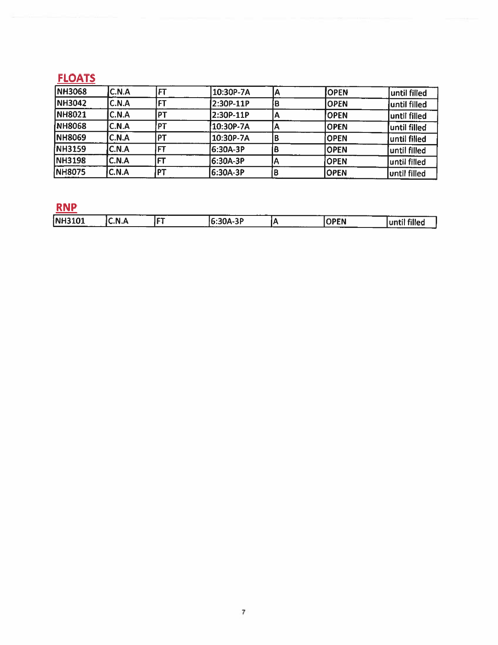# **FLOATS**

| <b>NH3068</b> | <b>C.N.A</b> |                | 10:30P-7A | <b>OPEN</b> |               |
|---------------|--------------|----------------|-----------|-------------|---------------|
|               |              |                |           |             | until filled  |
| <b>NH3042</b> | C.N.A        |                | 2:30P-11P | <b>OPEN</b> | luntil filled |
| <b>NH8021</b> | C.N.A        | <b>P1</b>      | 2:30P-11P | <b>OPEN</b> | until filled  |
| <b>NH8068</b> | C.N.A        | <b>PT</b>      | 10:30P-7A | lOPEN       | luntil filled |
| <b>NH8069</b> | C.N.A        | PT             | 10:30P-7A | <b>OPEN</b> | luntil filled |
| NH3159        | C.N.A        | FТ             | l6:30A-3P | <b>OPEN</b> | until filled  |
| <b>NH3198</b> | C.N.A        |                | 6:30A-3P  | <b>OPEN</b> | luntil filled |
| NH8075        | C.N.A        | P <sub>1</sub> | 6:30A-3P  | <b>OPEN</b> | until filled  |

# RNP

|                        |        |               | ---<br>___                   |         |             | ----                                |
|------------------------|--------|---------------|------------------------------|---------|-------------|-------------------------------------|
| <b>NH3101</b><br>----- | 'C.N.A | مومس ا<br>. . | 30A-3P<br>16:3UA-<br>------- | _______ | <b>OPEN</b> | ----<br><sup>et</sup> fillea<br>. 7 |
|                        |        |               |                              |         | ----        |                                     |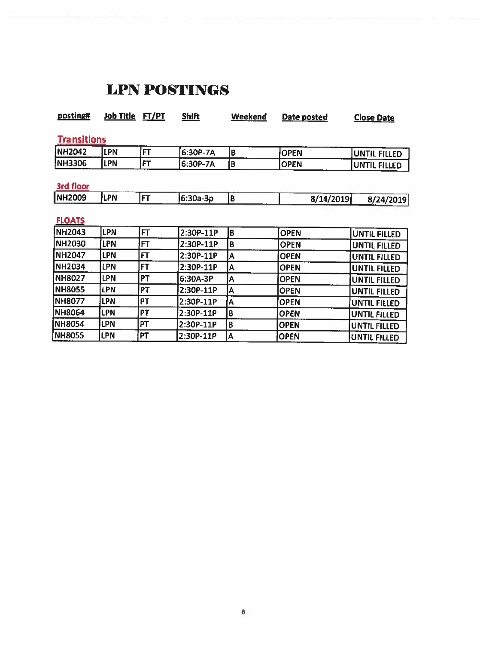# **LPN POSTINGS**

| posting#           | <b>Job Title</b> | FT/PT     | <b>Shift</b> | Weekend                 | Date posted | <b>Close Date</b>   |
|--------------------|------------------|-----------|--------------|-------------------------|-------------|---------------------|
| <b>Transitions</b> |                  |           |              |                         |             |                     |
| <b>NH2042</b>      | <b>LPN</b>       | <b>FT</b> | 6:30P-7A     | B                       | <b>OPEN</b> | <b>UNTIL FILLED</b> |
| NH3306             | LPN              | FT        | 6:30P-7A     | B                       | <b>OPEN</b> | <b>UNTIL FILLED</b> |
| 3rd floor          |                  |           |              |                         |             |                     |
| <b>NH2009</b>      | <b>ILPN</b>      | FT        | 6:30a-3p     | IB.                     | 8/14/2019   | 8/24/2019           |
| <b>FLOATS</b>      |                  |           |              |                         |             |                     |
| <b>NH2043</b>      | <b>LPN</b>       | [FT       | 2:30P-11P    | B                       | <b>OPEN</b> | <b>UNTIL FILLED</b> |
| NH2030             | <b>LPN</b>       | FT        | 2:30P-11P    | B                       | <b>OPEN</b> | <b>UNTIL FILLED</b> |
| <b>NH2047</b>      | <b>LPN</b>       | <b>FT</b> | 2:30P-11P    | A                       | <b>OPEN</b> | UNTIL FILLED        |
| <b>NH2034</b>      | LPN              | FT        | 2:30P-11P    | Α                       | <b>OPEN</b> | UNTIL FILLED        |
| <b>NH8027</b>      | <b>LPN</b>       | PT        | 6:30A-3P     | Α                       | <b>OPEN</b> | UNTIL FILLED        |
| <b>NH8055</b>      | <b>LPN</b>       | PT        | 2:30P-11P    | A                       | <b>OPEN</b> | UNTIL FILLED        |
| <b>NH8077</b>      | <b>LPN</b>       | PT        | 2:30P-11P    | $\overline{\mathsf{A}}$ | <b>OPEN</b> | <b>UNTIL FILLED</b> |
| <b>NH8064</b>      | <b>LPN</b>       | <b>PT</b> | 2:30P-11P    | B                       | <b>OPEN</b> | <b>UNTIL FILLED</b> |
| <b>NH8054</b>      | lpn              | PT        | 2:30P-11P    | $\pmb{B}$               | <b>OPEN</b> | <b>UNTIL FILLED</b> |
| <b>NH8055</b>      | <b>LPN</b>       | PT        | 2:30P-11P    | A                       | <b>OPEN</b> | <b>UNTIL FILLED</b> |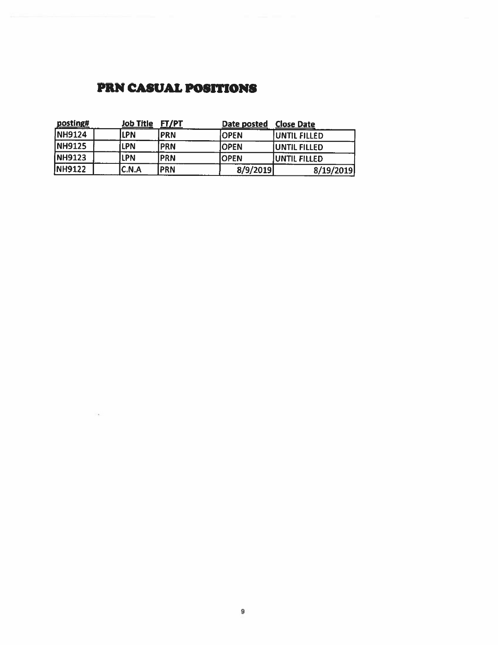# **PRN CASUAL POSITIONS**

| posting#      | <b>Job Title</b> | ET/PT       | Date posted | <b>Close Date</b>    |
|---------------|------------------|-------------|-------------|----------------------|
| <b>NH9124</b> | LPN              | <b>IPRN</b> | <b>OPEN</b> | <b>UNTIL FILLED</b>  |
| <b>NH9125</b> | <b>LPN</b>       | <b>IPRN</b> | <b>OPEN</b> | <b>UNTIL FILLED</b>  |
| NH9123        | LPN              | IPRN        | <b>OPEN</b> | <b>JUNTIL FILLED</b> |
| <b>NH9122</b> | C.N.A            | <b>PRN</b>  | 8/9/2019    | 8/19/2019            |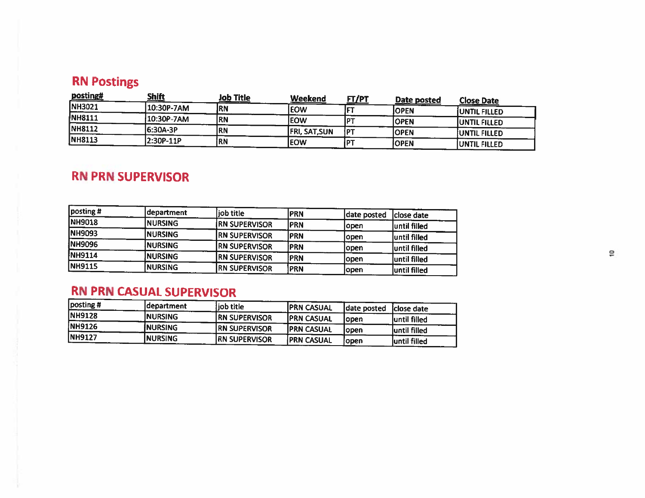# **RN Postings**

| 10:30P-7AM<br><b>IRN</b> |                                     | <u> FT/PT</u>        | Date posted | <b>Close Date</b>                   |
|--------------------------|-------------------------------------|----------------------|-------------|-------------------------------------|
|                          | <b>EOW</b>                          |                      | IOPEN       | <b>JUNTIL FILLED</b>                |
| RN                       | <b>EOW</b>                          |                      |             | <b>JUNTIL FILLED</b>                |
| IRN                      |                                     | ł P                  |             | IUNTIL FILLED                       |
| [RN                      | lEOW                                |                      |             | <b>JUNTIL FILLED</b>                |
|                          | 10:30P-7AM<br>6:30A-3P<br>2:30P-11P | <b>FRI, SAT, SUN</b> |             | <b>OPEN</b><br>IOPEN<br><b>OPEN</b> |

# **RN PRN SUPERVISOR**

| $\sqrt{\frac{1}{1}}$ posting # | department      | iob title            | <b>PRN</b> | date posted | Iclose date   |
|--------------------------------|-----------------|----------------------|------------|-------------|---------------|
| <b>NH9018</b>                  | <b>INURSING</b> | <b>RN SUPERVISOR</b> | <b>PRN</b> | lopen       | Juntil filled |
| <b>NH9093</b>                  | <b>INURSING</b> | <b>RN SUPERVISOR</b> | <b>PRN</b> | lopen       | luntil filled |
| NH9096                         | <b>INURSING</b> | <b>RN SUPERVISOR</b> | <b>PRN</b> | lopen       | luntil filled |
| <b>NH9114</b>                  | <b>INURSING</b> | <b>RN SUPERVISOR</b> | PRN        | lopen       | until filled  |
| <b>NH9115</b>                  | <b>NURSING</b>  | <b>RN SUPERVISOR</b> | PRN        | iopen       | Juntil filled |

# **RN PRN CASUAL SUPERVISOR**

| posting #      | ldepartment     | iob title             | <b>IPRN CASUAL</b> | date posted | Iclose date   |
|----------------|-----------------|-----------------------|--------------------|-------------|---------------|
| <b>NH9128</b>  | <b>INURSING</b> | <b>IRN SUPERVISOR</b> | <b>IPRN CASUAL</b> | lopen       | until filled  |
| NH9126         | INURSING        | <b>IRN SUPERVISOR</b> | <b>IPRN CASUAL</b> | Iopen       | luntil filled |
| <b>INH9127</b> | <b>NURSING</b>  | <b>RN SUPERVISOR</b>  | <b>PRN CASUAL</b>  | lopen       | luntil filled |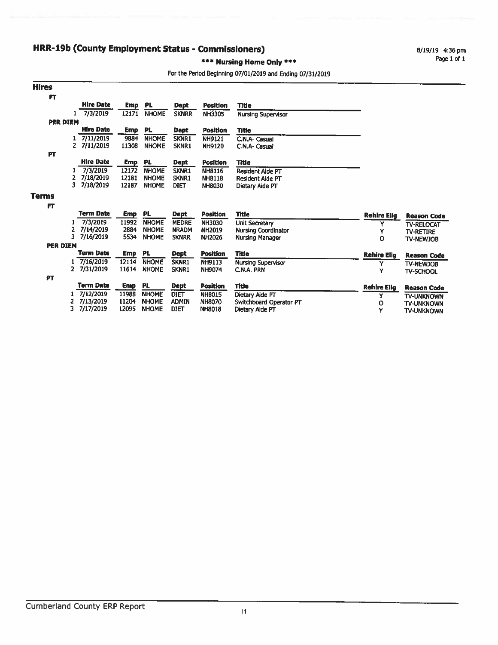### **HRR-19b (County Employment Status - Commissioners)**

8/19/19 4:36 pm Page 1 of 1

#### \*\*\* Nursing Home Only \*\*\*

#### For the Period Beginning 07/01/2019 and Ending 07/31/2019

| <b>Hires</b>    |                 |                           |            |              |              |                 |                                |                    |                                |
|-----------------|-----------------|---------------------------|------------|--------------|--------------|-----------------|--------------------------------|--------------------|--------------------------------|
| FT              |                 |                           |            |              |              |                 |                                |                    |                                |
|                 |                 | <b>Hire Date</b>          | <b>Emp</b> | PL.          | <b>Dept</b>  | <b>Position</b> | Title                          |                    |                                |
|                 |                 | 7/3/2019                  | 12171      | <b>NHOME</b> | <b>SKNRR</b> | NH3305          | <b>Nursing Supervisor</b>      |                    |                                |
|                 | <b>PER DIEM</b> |                           |            |              |              |                 |                                |                    |                                |
|                 |                 | <b>Hire Date</b>          | <b>Emp</b> | PL.          | Dept         | <b>Position</b> | <b>Title</b>                   |                    |                                |
|                 |                 | 7/11/2019                 | 9884       | <b>NHOME</b> | SKNR1        | <b>NH9121</b>   | C.N.A- Casual                  |                    |                                |
|                 |                 | $\mathbf{2}$<br>7/11/2019 | 11308      | <b>NHOME</b> | SKNR1        | <b>NH9120</b>   | C.N.A- Casual                  |                    |                                |
| PT              |                 |                           |            |              |              |                 |                                |                    |                                |
|                 |                 | <b>Hire Date</b>          | Emp        | <b>PL</b>    | Dept         | Position        | <b>Title</b>                   |                    |                                |
|                 |                 | 7/3/2019                  | 12172      | <b>NHOME</b> | <b>SKNR1</b> | NH8116          | <b>Resident Aide PT</b>        |                    |                                |
|                 | 2               | 7/18/2019                 | 12181      | <b>NHOME</b> | SKNR1        | <b>NH8118</b>   | Resident Alde PT               |                    |                                |
|                 | 3.              | 7/18/2019                 | 12187      | <b>NHOME</b> | <b>DIET</b>  | <b>NH8030</b>   | Dietary Aide PT                |                    |                                |
| <b>Terms</b>    |                 |                           |            |              |              |                 |                                |                    |                                |
| F               |                 |                           |            |              |              |                 |                                |                    |                                |
|                 |                 | <b>Term Date</b>          | Emp        | PL           | <b>Dept</b>  | <b>Position</b> | <b>Title</b>                   | <b>Rehire Elig</b> | <b>Reason Code</b>             |
|                 |                 | 7/3/2019                  | 11992      | <b>NHOME</b> | <b>MEDRE</b> | NH3030          | <b>Unit Secretary</b>          | Y                  |                                |
|                 | 2               | 7/14/2019                 | 2884       | <b>NHOME</b> | <b>NRADM</b> | <b>NH2019</b>   | <b>Nursing Coordinator</b>     | Y                  | TV-RELOCAT<br><b>TV-RETIRE</b> |
|                 | 3               | 7/16/2019                 | 5534       | <b>NHOME</b> | <b>SKNRR</b> | <b>NH2026</b>   | Nursing Manager                | $\circ$            | TV-NEWJOB                      |
| <b>PER DIEM</b> |                 |                           |            |              |              |                 |                                |                    |                                |
|                 |                 | <b>Term Date</b>          | <b>Emp</b> | <b>PL</b>    | <b>Dept</b>  | Position        | <b>Title</b>                   | <b>Rehire Elig</b> | <b>Reason Code</b>             |
|                 |                 | 7/16/2019                 | 12114      | <b>NHOME</b> | SKNR1        | <b>NH9113</b>   | <b>Nursing Supervisor</b>      | Y                  | TV-NEWJOB                      |
|                 |                 | 2 7/31/2019               | 11614      | <b>NHOME</b> | SKNR1        | NH9074          | C.N.A. PRN                     | Y                  | <b>TV-SCHOOL</b>               |
| PT              |                 |                           |            |              |              |                 |                                |                    |                                |
|                 |                 | <b>Term Date</b>          | <b>Emp</b> | PL.          | <b>Dept</b>  | <b>Position</b> | <b>Title</b>                   | <b>Rehire Elig</b> | <b>Reason Code</b>             |
|                 |                 | 7/12/2019                 | 11988      | <b>NHOME</b> | <b>DIET</b>  | <b>NH8015</b>   | Dietary Aide PT                | Y                  | <b>TV-UNKNOWN</b>              |
|                 |                 | 7/13/2019                 | 11204      | <b>NHOME</b> | <b>ADMIN</b> | <b>NH8070</b>   | <b>Switchboard Operator PT</b> | о                  | <b>TV-UNKNOWN</b>              |
|                 | 3.              | 7/17/2019                 | 12095      | <b>NHOME</b> | <b>DIET</b>  | <b>NH8018</b>   | Dietary Aide PT                | Y                  | <b>TV-UNKNOWN</b>              |
|                 |                 |                           |            |              |              |                 |                                |                    |                                |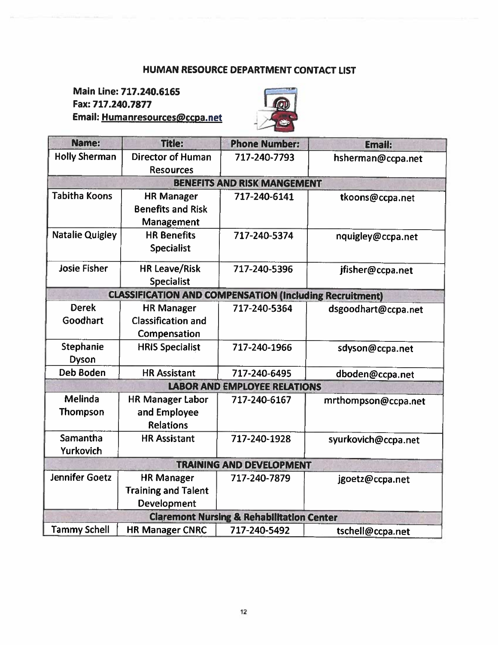### HUMAN RESOURCE DEPARTMENT CONTACT LIST

Main Line: 717.240.6165 Fax: 717.240.7877 Email: Humanresources@ccpa.net



| Name:                            | <b>Title:</b>                                                         | <b>Phone Number:</b>                                 | <b>Email:</b>       |
|----------------------------------|-----------------------------------------------------------------------|------------------------------------------------------|---------------------|
| <b>Holly Sherman</b>             | <b>Director of Human</b><br><b>Resources</b>                          | 717-240-7793                                         | hsherman@ccpa.net   |
|                                  |                                                                       | <b>BENEFITS AND RISK MANGEMENT</b>                   |                     |
| <b>Tabitha Koons</b>             | <b>HR Manager</b><br><b>Benefits and Risk</b><br>Management           | 717-240-6141                                         | tkoons@ccpa.net     |
| <b>Natalie Quigley</b>           | <b>HR Benefits</b><br><b>Specialist</b>                               | 717-240-5374                                         | nquigley@ccpa.net   |
| <b>Josie Fisher</b>              | <b>HR Leave/Risk</b><br><b>Specialist</b>                             | 717-240-5396                                         | jfisher@ccpa.net    |
|                                  | <b>CLASSIFICATION AND COMPENSATION (Including Recruitment)</b>        |                                                      |                     |
| <b>Derek</b><br>Goodhart         | <b>HR Manager</b><br><b>Classification and</b><br>Compensation        | 717-240-5364                                         | dsgoodhart@ccpa.net |
| <b>Stephanie</b><br><b>Dyson</b> | <b>HRIS Specialist</b>                                                | 717-240-1966                                         | sdyson@ccpa.net     |
| <b>Deb Boden</b>                 | <b>HR Assistant</b>                                                   | 717-240-6495                                         | dboden@ccpa.net     |
|                                  |                                                                       | <b>LABOR AND EMPLOYEE RELATIONS</b>                  |                     |
| Melinda<br><b>Thompson</b>       | <b>HR Manager Labor</b><br>and Employee<br><b>Relations</b>           | 717-240-6167                                         | mrthompson@ccpa.net |
| Samantha<br>Yurkovich            | <b>HR Assistant</b>                                                   | 717-240-1928                                         | syurkovich@ccpa.net |
|                                  |                                                                       | <b>TRAINING AND DEVELOPMENT</b>                      |                     |
| <b>Jennifer Goetz</b>            | <b>HR Manager</b><br><b>Training and Talent</b><br><b>Development</b> | 717-240-7879                                         | jgoetz@ccpa.net     |
|                                  |                                                                       | <b>Claremont Nursing &amp; Rehabilitation Center</b> |                     |
| <b>Tammy Schell</b>              | <b>HR Manager CNRC</b>                                                | 717-240-5492                                         | tschell@ccpa.net    |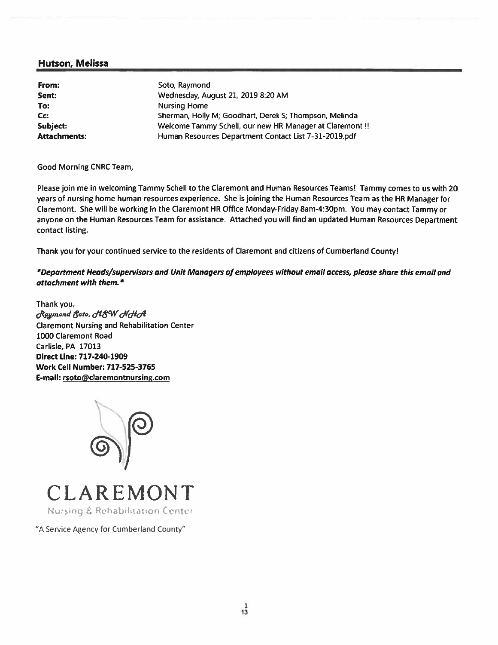### **Hutson, Melissa**

| From:               | Soto Raymond                                             |
|---------------------|----------------------------------------------------------|
| Sent:               | Wednesday, August 21, 2019 8:20 AM                       |
| To:                 | <b>Nursing Home</b>                                      |
| Cc:                 | Sherman, Holly M; Goodhart, Derek S; Thompson, Melinda   |
| Subject:            | Welcome Tammy Schell, our new HR Manager at Claremont !! |
| <b>Attachments:</b> | Human Resources Department Contact List 7-31-2019.pdf    |

Good Morning CNRC Team,

Please join me in welcoming Tammy Schell to the Claremont and Human Resources Teams! Tammy comes to us with 20 years of nursing home human resources experience. She is joining the Human Resources Team as the HR Manager for Claremont. She will be working in the Claremont HR Office Monday-Friday 8am-4:30pm. You may contact Tammy or anyone on the Human Resources Team for assistance. Attached you will find an updated Human Resources Department contact listing.

Thank you for your continued service to the residents of Claremont and citizens of Cumberland County!

\*Department Heads/supervisors and Unit Managers of employees without email access, please share this email and attachment with them.\*

Thank you, Raymond Soto, MSW NHA **Claremont Nursing and Rehabilitation Center** 1000 Claremont Road Carlisle, PA 17013 Direct Line: 717-240-1909 **Work Cell Number: 717-525-3765** E-mail: rsoto@claremontnursing.com





"A Service Agency for Cumberland County"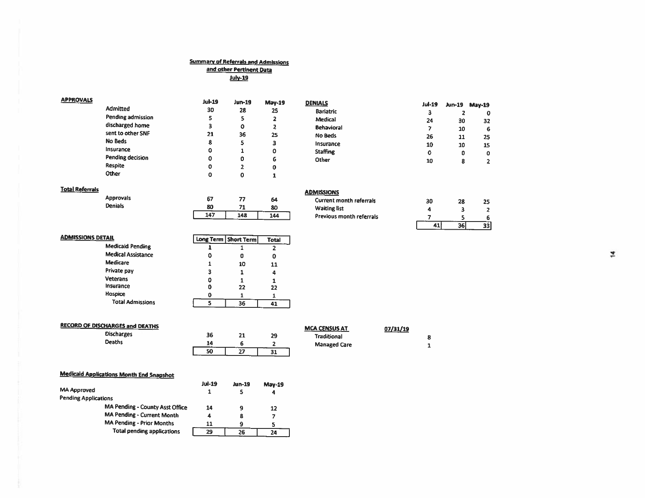# <u>Summary of Referrals and Admissions</u><br>and other Pertinent Data

July-19

| <b>APPROVALS</b> |                   | <b>Jul-19</b> | Jun-19 | $May-19$ | <b>DENIALS</b>    | $Jul-19$ | <b>Jun-19</b> |               |
|------------------|-------------------|---------------|--------|----------|-------------------|----------|---------------|---------------|
|                  | <b>Admitted</b>   | 30            | 28     | 25       | <b>Bariatric</b>  |          |               | <b>May-19</b> |
|                  | Pending admission | 5             |        | ▴        | Medical           | а<br>24  | 30            | O<br>32       |
|                  | discharged home   | 3             | 0      |          | <b>Behavioral</b> |          | 10            | 6             |
|                  | sent to other SNF | 21            | 36     | 25       | No Beds           | 26       | 11            | 25            |
|                  | No Beds           | 8             |        |          | Insurance         | 10       | 10            | 15            |
|                  | Insurance         | 0             |        | ٥        | <b>Staffing</b>   | 0        | 0             | ٥             |
|                  | Pending decision  | ٥             | O      | 6        | Other             | 10       | 8             | 2             |
|                  | Respite           | 0             |        |          |                   |          |               |               |
|                  | Other             | Ω             | ŋ      |          |                   |          |               |               |

#### **Total Referrals**

Approvals<br>Denials

| 67  | 77  | 64  |
|-----|-----|-----|
| 80  | 71  | 80  |
| 147 | 148 | 144 |

| <b>ADMISSIONS</b>              |    |    |
|--------------------------------|----|----|
| <b>Current month referrals</b> | 30 | 28 |
| <b>Waiting list</b>            |    | ર  |
| Previous month referrals       |    |    |
|                                |    |    |

| <b>ADMISSIONS DETAIL</b> |                           |   | Long Term   Short Term | <b>Total</b> |
|--------------------------|---------------------------|---|------------------------|--------------|
|                          | <b>Medicaid Pending</b>   |   |                        |              |
|                          | <b>Medical Assistance</b> | 0 | Đ                      |              |
|                          | <b>Medicare</b>           |   | 10                     | 11           |
|                          | Private pay               | 3 |                        |              |
|                          | <b>Veterans</b>           | 0 |                        |              |
|                          | Insurance                 | 0 | 22                     | 22           |
|                          | Hospice                   | Ω |                        |              |
|                          | <b>Total Admissions</b>   |   | 36                     |              |

| <b>RECORD OF DISCHARGES and DEATHS</b> |    |           |    | <b>MCA CENSUS AT</b> | 07/31/19 |
|----------------------------------------|----|-----------|----|----------------------|----------|
| <b>Discharges</b>                      | 36 | 21        | 29 | Traditional          |          |
| Deaths                                 | 14 |           |    | <b>Managed Care</b>  |          |
|                                        | 50 | 55<br>، ب | 31 |                      |          |

#### **Medicaid Applications Month End Snapshot**

|                                        | <b>Jul-19</b> | Jun-19 | <b>May-19</b> |
|----------------------------------------|---------------|--------|---------------|
| <b>MA Approved</b>                     |               |        | 4             |
| <b>Pending Applications</b>            |               |        |               |
| <b>MA Pending - County Asst Office</b> | 14            |        | 12            |
| <b>MA Pending - Current Month</b>      | 4             | 8      |               |
| <b>MA Pending - Prior Months</b>       | 11            |        | s             |
| <b>Total pending applications</b>      | 29            | 26     | 2Δ            |

 $\frac{25}{2}$ 

 $6\phantom{a}$  $\overline{33}$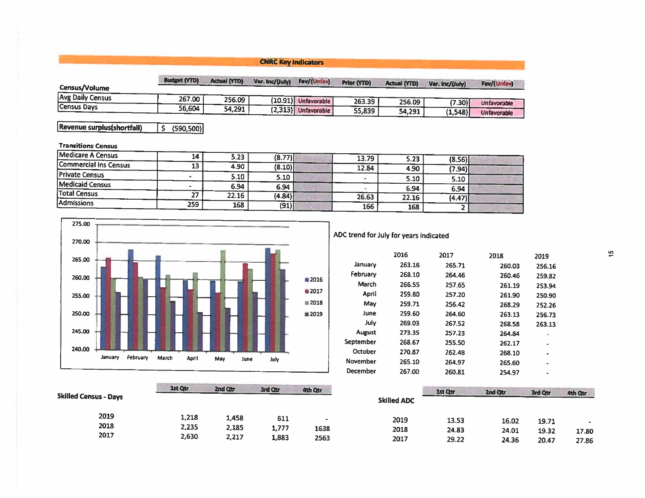|                  |                     |                     | <b>CNRC Key Indicators</b> |                       |                    |                     |                 |                    |
|------------------|---------------------|---------------------|----------------------------|-----------------------|--------------------|---------------------|-----------------|--------------------|
| Census/Volume    | <b>Budget (YTD)</b> | <b>Actual (YTD)</b> | Var. Inc/(July)            | Fav/(Unfav)           | <b>Prior (YTD)</b> | <b>Actual (YTD)</b> | Var. inc/(July) | Fav/(Unfav)        |
| Avg Daily Census | 267.00              | 256.09              |                            | (10.91) Unfavorable   | 263.39             | 256.09              | (7.30)          | <b>Unfavorable</b> |
| Census Days      | 56.604              | 54,291              |                            | $(2,313)$ Unfavorable | 55,839             | 54,291              | (1, 548)        | <b>Unfavorable</b> |

Revenue surplus(shortfall)  $5(590,500)$ 

#### **Transitions Census**

| Medicare A Census            | 14  | 5.23  | (8.77) | 13.79 | 5.23  |                  |  |
|------------------------------|-----|-------|--------|-------|-------|------------------|--|
| <b>Commercial Ins Census</b> | 13  | 4.90  | (8.10) | 12.84 | 4.90  | (8.56)<br>(7.94) |  |
| <b>Private Census</b>        |     | 5.10  | 5.10   |       | 5.10  | 5.10             |  |
| <b>Medicaid Census</b>       |     | 6.94  | 6.94   |       | 6.94  | 6.94             |  |
| <b>Total Census</b>          |     | 22.16 | (4.84) | 26.63 | 22.16 | (4.47)           |  |
| <b>Admissions</b>            | 259 | 168   | (91)   | 166   | 168   |                  |  |



ADC trend for July for years indicated

| 2016   | 2017   | 2018   | 2019   |
|--------|--------|--------|--------|
| 263.16 | 265.71 | 260.03 | 256.16 |
| 268.10 | 264.46 | 260.46 | 259.82 |
| 266.55 | 257.65 | 261.19 | 253.94 |
| 259.80 | 257.20 | 261.90 | 250.90 |
| 259.71 | 256.42 | 268.29 | 252.26 |
| 259.60 | 264.60 | 263.13 | 256.73 |
| 269.03 | 267.52 | 268.58 | 263.13 |
| 273.35 | 257.23 | 264.84 |        |
| 268.67 | 255.50 | 262.17 |        |
| 270.87 | 262.48 | 268.10 | ۰      |
| 265.10 | 264.97 | 265.60 |        |
| 267.00 | 260.81 | 254.97 | ۰      |
|        |        |        |        |

|                              | 1st Qtr | 2nd Qtr | 3rd Qtr | 4th Qtr |                    | 1st Qtr | 2nd Qtr | 3rd Qtr |         |
|------------------------------|---------|---------|---------|---------|--------------------|---------|---------|---------|---------|
| <b>Skilled Census - Days</b> |         |         |         |         | <b>Skilled ADC</b> |         |         |         | 4th Qtr |
| 2019                         | 1,218   | 1,458   | 611     |         | 2019               | 13.53   | 16.02   | 19.71   |         |
| 2018<br>2017                 | 2,235   | 2,185   | 1,777   | 1638    | 2018               | 24.83   | 24.01   | 19.32   | 17.80   |
|                              | 2,630   | 2,217   | 1,883   | 2563    | 2017               | 29.22   | 24.36   | 20.47   | 27.86   |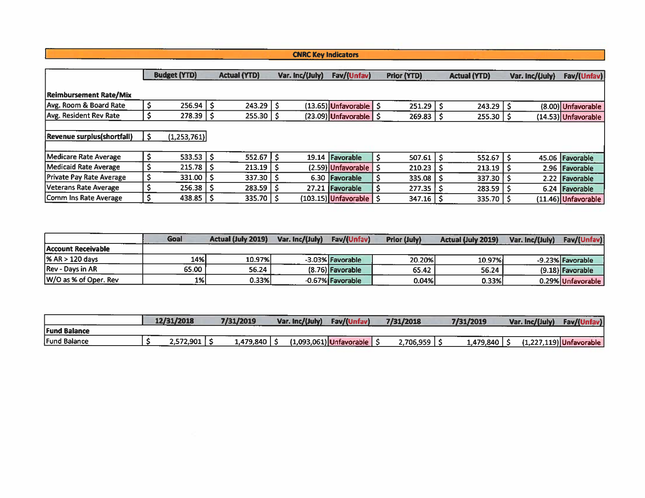### **CNRC Key Indicators**

|                                    | <b>Budget (YTD)</b> |     | <b>Actual (YTD)</b> | Var. Inc/(July) | Fav/(Unfav)                      | Prior (YTD)        |    | <b>Actual (YTD)</b>       | Var. Inc/(July) | Fav/(Unfav)           |
|------------------------------------|---------------------|-----|---------------------|-----------------|----------------------------------|--------------------|----|---------------------------|-----------------|-----------------------|
| <b>Reimbursement Rate/Mix</b>      |                     |     |                     |                 |                                  |                    |    |                           |                 |                       |
| Avg. Room & Board Rate             | 256.94              |     | $243.29$   \$       |                 | $(13.65)$ Unfavorable $\vert$ \$ | 251.29             | -S | 243.29                    |                 | (8.00) Unfavorable    |
| Avg. Resident Rev Rate             | 278.39              | -Ş  | 255.30              |                 | (23.09) Unfavorable   \$         | $269.83 \mid 5$    |    | $255.30 \mid \frac{6}{5}$ |                 | (14.53) Unfavorable   |
|                                    |                     |     |                     |                 |                                  |                    |    |                           |                 |                       |
| <b>Revenue surplus (shortfall)</b> | (1,253,761)         |     |                     |                 |                                  |                    |    |                           |                 |                       |
|                                    |                     |     |                     |                 |                                  |                    |    |                           |                 |                       |
| Medicare Rate Average              | 533.53              |     | 552.67              |                 | 19.14 Favorable                  | $507.61$   \$      |    | 552.67                    |                 | 45.06 Favorable       |
| Medicaid Rate Average              | 215.78              | ∣\$ | 213.19              |                 | $(2.59)$ Unfavorable   \$        | 210.23             |    | 213.19                    |                 | 2.96 Favorable        |
| <b>Private Pay Rate Average</b>    | 331.00              | - 5 | 337.30              |                 | 6.30 Favorable                   | $335.08$   \$      |    | 337.30                    |                 | 2.22 Favorable        |
| Veterans Rate Average              | 256.38              |     | 283.59              |                 | 27.21 Favorable                  | $277.35$ $\mid$ \$ |    | 283.59                    |                 | 6.24 Favorable        |
| Comm Ins Rate Average              | 438.85              |     | $335.70$   \$       |                 | (103.15) Unfavorable   \$        | $347.16$   \$      |    | 335.70                    |                 | $(11.46)$ Unfavorable |

|                          | Goal  | <b>Actual (July 2019)</b> | Var. Inc/(July) | Fay/(Unfay)      | <b>Prior (July)</b> | <b>Actual (July 2019)</b> | Var. Inc/(July) | Fav/(Unfav)       |
|--------------------------|-------|---------------------------|-----------------|------------------|---------------------|---------------------------|-----------------|-------------------|
| Account Receivable       |       |                           |                 |                  |                     |                           |                 |                   |
| 1% AR > 120 days         | 14%l  | 10.97%                    |                 | -3.03% Favorable | 20.20%              | 10.97%                    |                 | -9.23% Favorable  |
| <b>Rev - Days in AR</b>  | 65.00 | 56.24                     |                 | (8.76) Favorable | 65.42               | 56.24                     |                 | (9.18) Favorable  |
| $ W/O$ as % of Oper. Rev | 1%    | 0.33%                     |                 | -0.67% Favorable | 0.04%               | 0.33%                     |                 | 0.29% Unfavorable |

|                     | 12/31/2018 | 7/31/2019 | Var. Inc/(July) | Fav/(U                    | 7/31/2018 | 7/31/2019 | Var. Inc/(July) | Fav/(U                    |
|---------------------|------------|-----------|-----------------|---------------------------|-----------|-----------|-----------------|---------------------------|
| <b>Fund Balance</b> |            |           |                 |                           |           |           |                 |                           |
| Fund Balance        | 2,572,901  | 1,479,840 |                 | $(1,093,061)$ Unfavorable | 2,706,959 | 1,479,840 |                 | $(1,227,119)$ Unfavorable |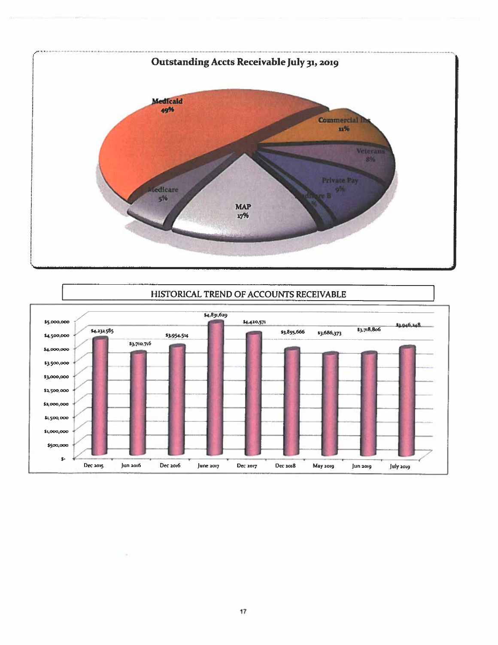



### HISTORICAL TREND OF ACCOUNTS RECEIVABLE

×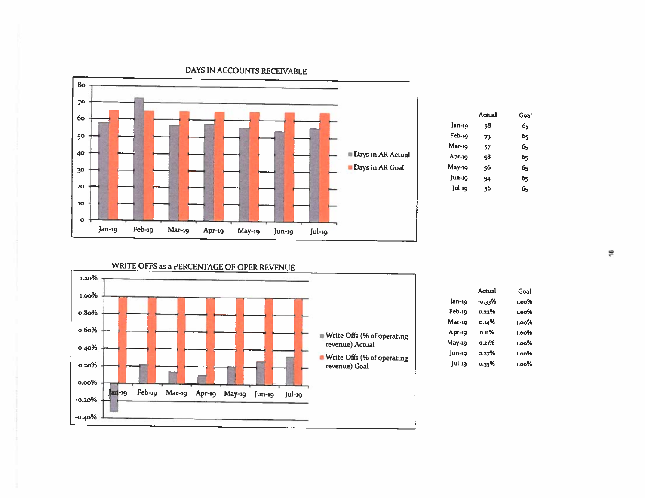

|        | Actual | Goal |
|--------|--------|------|
| Jan-19 | 58     | 65   |
| Feb-19 | 73     | 65   |
| Mar-19 | 57     | 65   |
| Apr-19 | 58     | 65   |
| May-19 | 56     | 65   |
| Jun-19 | 54     | 65   |
| Jul-19 | 56     | б5   |
|        |        |      |

WRITE OFFS as a PERCENTAGE OF OPER REVENUE



|        | Actual | Goal  |
|--------|--------|-------|
| lan-19 | -0.33% | ം പ   |
| Feb-19 | ი. აა% | ്രറ‰  |
| Маг-19 | 0.14%  | ഥറ%   |
| Арг-19 | 0.11%  | 1.00% |
| May-19 | ი ა:%  | 1.00% |
| Jun-19 | 0.27%  | 1.00% |
| Jul-19 | 0.33%  | ა იი% |

DAYS IN ACCOUNTS RECEIVABLE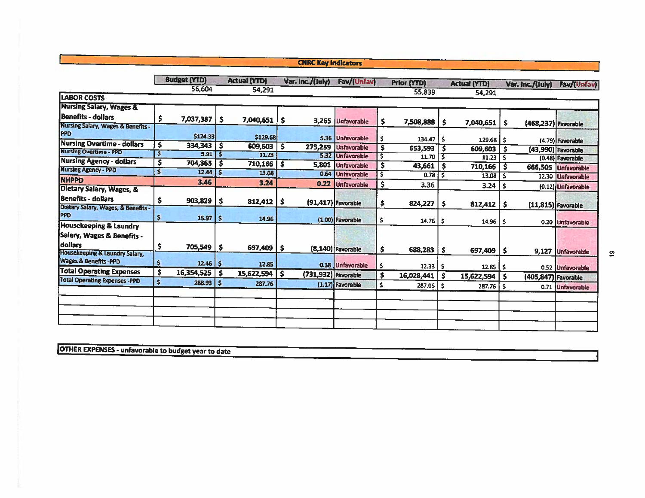#### **CNRC Key Indicators**

|                                                                         |              | <b>Budget (YTD)</b>             |              | <b>Actual (YTD)</b> |    | Var. Inc./(July)    | Fav/(Unfav)           |     | <b>Prior (YTD)</b> |     | <b>Actual (YTD)</b>                 |     | Var. Inc./(July)    | Fav/(Unfav)          |
|-------------------------------------------------------------------------|--------------|---------------------------------|--------------|---------------------|----|---------------------|-----------------------|-----|--------------------|-----|-------------------------------------|-----|---------------------|----------------------|
|                                                                         |              | 56,604                          |              | 54,291              |    |                     |                       |     | 55,839             |     | 54,291                              |     |                     |                      |
| <b>LABOR COSTS</b>                                                      |              |                                 |              |                     |    |                     |                       |     |                    |     |                                     |     |                     |                      |
| <b>Nursing Salary, Wages &amp;</b>                                      |              |                                 |              |                     |    |                     |                       |     |                    |     |                                     |     |                     |                      |
| <b>Benefits - dollars</b>                                               |              | 7,037,387                       | $\mathsf{I}$ | 7,040,651           | .s |                     | 3,265 Unfavorable     | s   | 7,508,888          | \$  | 7,040,651                           | \$  |                     |                      |
| Nursing Salary, Wages & Benefits -<br>PPD                               |              | \$124.33                        |              | \$129.68            |    |                     | 5.36 Unfavorable      | s   | $134.47$   \$      |     |                                     |     | (468,237) Favorable |                      |
| <b>Nursing Overtime - dollars</b>                                       | \$           | 334,343                         | $\vert$ \$   | 609,603             | s. | 275,259             | Unfavorable           | Ś   | 653,593            |     | $129.68$ \$                         |     |                     | (4.79) Favorable     |
| <b>Nursing Overtime - PPD</b>                                           |              | $5.91$ $\overline{\phantom{1}}$ |              | 11.23               |    |                     | 5.32 Unfavorable      | S   | 11.70              | -S  | 609,603                             | s   |                     | (43,990) Favorable   |
| <b>Nursing Agency - dollars</b>                                         | Ś            | 704,365                         | -S           | 710,166             | s  | 5,801               | <b>Unfavorable</b>    |     | 43,661             | -\$ | 11.23                               | -S  |                     | (0.48) Favorable     |
| <b>Nursing Agency - PPD</b>                                             | $\mathsf{S}$ | 12.44                           | I s          | 13.08               |    |                     | 0.64 Unfavorable      |     |                    | -S  | 710,166                             |     |                     | 666,505 Unfavorable  |
| <b>NHPPD</b>                                                            |              | 3.46                            |              | 3.24                |    |                     |                       | s   | $0.78$ S           |     | $13.08$ $5$                         |     |                     | 12.30 Unfavorable    |
| Dietary Salary, Wages, &                                                |              |                                 |              |                     |    | 0.22                | Unfavorable           | \$  | 3.36               |     | 3.24                                | -S  |                     | (0.12) Unfavorable   |
| l Benefits - dollars                                                    | \$           | 903,829                         | 5 ا          | 812,412             | -S |                     | $(91, 417)$ Favorable | \$  | 824,227            | -S  | $812,412$ \$                        |     |                     |                      |
| Dietary Salary, Wages, & Benefits -<br><b>PPD</b>                       | \$           | 15.97                           | ١s           | 14.96               |    |                     | $(1.00)$ Favorable    | \$. | 14.76              | -\$ |                                     |     |                     | $(11,815)$ Favorable |
| Housekeeping & Laundry                                                  |              |                                 |              |                     |    |                     |                       |     |                    |     | $14.96$   \$                        |     |                     | 0.20 Unfavorable     |
| Salary, Wages & Benefits -<br>dollars<br>Housekeeping & Laundry Salary, | s            | 705,549                         | \$           | 697,409             | -S |                     | (8,140) Favorable     | \$. | 688,283            | -S  | 697,409                             | -\$ |                     | 9,127 Unfavorable    |
| <b>Wages &amp; Benefits -PPD</b>                                        | Ś            | $12.46$   \$                    |              | 12.85               |    |                     | 0.38 Unfavorable      | \$  | $12.33$ S          |     | $12.85$ $\overline{\phantom{1}}$ \$ |     |                     | 0.52 Unfavorable     |
| <b>Total Operating Expenses</b>                                         | \$           | 16,354,525                      | \$ ا         | 15,622,594          | s. | (731,932) Favorable |                       | \$  | 16,028,441         | \$  | 15,622,594                          |     | (405,847) Favorable |                      |
| <b>Total Operating Expenses -PPD</b>                                    | $\mathsf{s}$ | 288.93                          | $\vert$ \$   | 287.76              |    |                     | $(1.17)$ Favorable    | \$  | 287.05             | \$  | 287.76   \$                         |     |                     | 0.71 Unfavorable     |
|                                                                         |              |                                 |              |                     |    |                     |                       |     |                    |     |                                     |     |                     |                      |
|                                                                         |              |                                 |              |                     |    |                     |                       |     |                    |     |                                     |     |                     |                      |
|                                                                         |              |                                 |              |                     |    |                     |                       |     |                    |     |                                     |     |                     |                      |
|                                                                         |              |                                 |              |                     |    |                     |                       |     |                    |     |                                     |     |                     |                      |
|                                                                         |              |                                 |              |                     |    |                     |                       |     |                    |     |                                     |     |                     |                      |

**OTHER EXPENSES - unfavorable to budget year to date**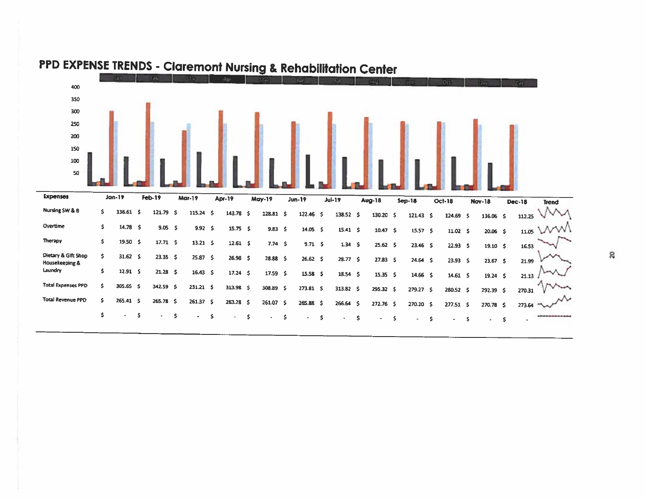

# PPD EXPENSE TRENDS - Claremont Nursing & Rehabilitation Center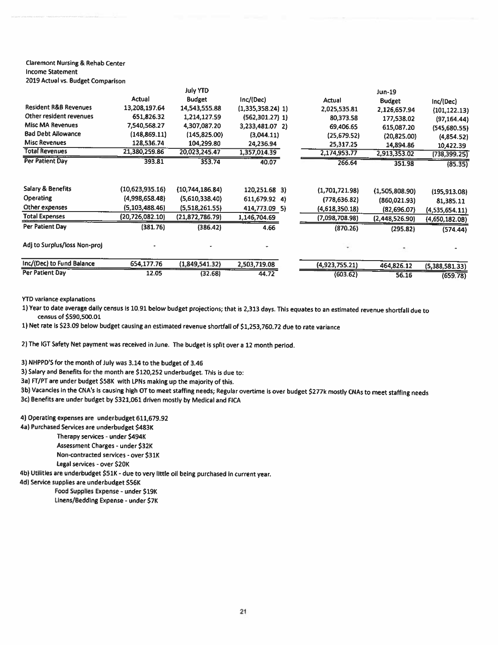### **Claremont Nursing & Rehab Center Income Statement**

|  |  |  | 2019 Actual vs. Budget Comparison |
|--|--|--|-----------------------------------|
|--|--|--|-----------------------------------|

|                                  |                   | July YTD        |                     |                | <b>Jun-19</b>  |                |
|----------------------------------|-------------------|-----------------|---------------------|----------------|----------------|----------------|
|                                  | Actual            | <b>Budget</b>   | Inc/(Dec)           | Actual         | <b>Budget</b>  | Inc/(Dec)      |
| <b>Resident R&amp;B Revenues</b> | 13,208,197.64     | 14,543,555.88   | $(1,335,358.24)$ 1) | 2,025,535.81   | 2,126,657.94   | (101, 122.13)  |
| Other resident revenues          | 651,826.32        | 1,214,127.59    | $(562,301.27)$ 1)   | 80,373.58      | 177,538.02     | (97, 164.44)   |
| <b>Misc MA Revenues</b>          | 7,540,568.27      | 4,307,087.20    | 3,233,481.07 2)     | 69,406.65      | 615,087.20     | (545,680.55)   |
| <b>Bad Debt Allowance</b>        | (148, 869.11)     | (145, 825.00)   | (3,044.11)          | (25, 679.52)   | (20, 825.00)   | (4,854.52)     |
| <b>Misc Revenues</b>             | 128,536.74        | 104,299.80      | 24,236.94           | 25,317.25      | 14,894.86      | 10,422.39      |
| <b>Total Revenues</b>            | 21,380,259.86     | 20,023,245.47   | 1,357,014.39        | 2,174,953.77   | 2,913,353.02   | (738, 399.25)  |
| Per Patient Day                  | 393.81            | 353.74          | 40.07               | 266.64         | 351.98         | (85.35)        |
| Salary & Benefits                | (10,623,935.16)   | (10,744,186.84) | 120,251.68 3)       | (1,701,721.98) | (1,505,808.90) | (195, 913.08)  |
| <b>Operating</b>                 | (4,998,658.48)    | (5,610,338.40)  | 611,679.92 4)       | (778, 636.82)  | (860,021.93)   | 81,385.11      |
| Other expenses                   | (5, 103, 488, 46) | (5,518,261.55)  | 414,773.09 5)       | (4,618,350.18) | (82,696.07)    | (4,535,654.11) |
| <b>Total Expenses</b>            | (20,726,082.10)   | (21,872,786.79) | 1,146,704.69        | (7,098,708.98) | (2,448,526.90) | (4,650,182.08) |
| Per Patient Day                  | (381.76)          | (386.42)        | 4.66                | (870.26)       | (295.82)       | (574.44)       |
| Adj to Surplus/loss Non-proj     |                   |                 |                     |                |                |                |
| Inc/(Dec) to Fund Balance        | 654,177.76        | (1,849,541.32)  | 2,503,719.08        | (4,923,755.21) | 464,826.12     | (5,388,581.33) |
| Per Patient Day                  |                   |                 |                     |                |                |                |

**YTD variance explanations** 

1) Year to date average daily census is 10.91 below budget projections; that is 2,313 days. This equates to an estimated revenue shortfall due to census of \$590,500.01

1) Net rate is \$23.09 below budget causing an estimated revenue shortfall of \$1,253,760.72 due to rate variance

2) The IGT Safety Net payment was received in June. The budget is split over a 12 month period.

3) NHPPD'S for the month of July was 3.14 to the budget of 3.46

3) Salary and Benefits for the month are \$120,252 underbudget. This is due to:

3a) FT/PT are under budget \$58K with LPNs making up the majority of this.

3b) Vacancies in the CNA's is causing high OT to meet staffing needs; Regular overtime is over budget \$277k mostly CNAs to meet staffing needs

3c) Benefits are under budget by \$321,061 driven mostly by Medical and FICA

#### 4) Operating expenses are underbudget 611,679.92

4a) Purchased Services are underbudget \$483K

Therapy services - under \$494K Assessment Charges - under \$32K Non-contracted services - over \$31K

Legal services - over \$20K

4b) Utilities are underbudget \$51K - due to very little oil being purchased in current year.

4d) Service supplies are underbudget \$56K

Food Supplies Expense - under \$19K Linens/Bedding Expense - under \$7K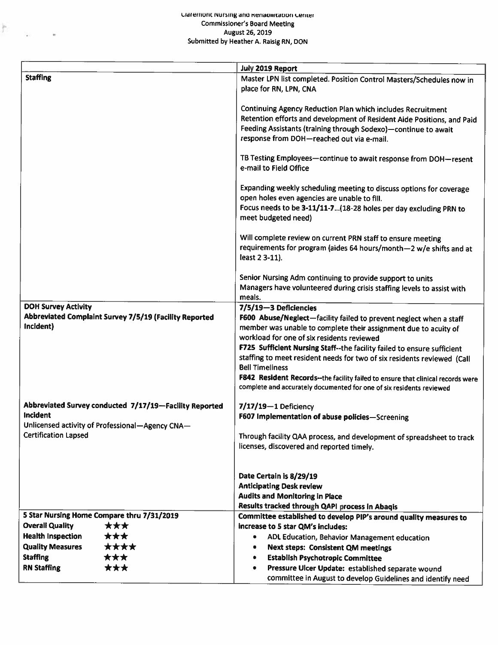#### Claremont nursing and Renaomtation Center **Commissioner's Board Meeting** August 26, 2019 Submitted by Heather A. Raisig RN, DON

 $\mathbb{R}^n$  .

 $\tilde{\mathbf{r}}$ 

|                                                        | July 2019 Report                                                                               |
|--------------------------------------------------------|------------------------------------------------------------------------------------------------|
| <b>Staffing</b>                                        |                                                                                                |
|                                                        | Master LPN list completed. Position Control Masters/Schedules now in<br>place for RN, LPN, CNA |
|                                                        |                                                                                                |
|                                                        | <b>Continuing Agency Reduction Plan which includes Recruitment</b>                             |
|                                                        | Retention efforts and development of Resident Aide Positions, and Paid                         |
|                                                        | Feeding Assistants (training through Sodexo)-continue to await                                 |
|                                                        | response from DOH-reached out via e-mail.                                                      |
|                                                        |                                                                                                |
|                                                        | TB Testing Employees-continue to await response from DOH-resent                                |
|                                                        | e-mail to Field Office                                                                         |
|                                                        |                                                                                                |
|                                                        | Expanding weekly scheduling meeting to discuss options for coverage                            |
|                                                        | open holes even agencies are unable to fill.                                                   |
|                                                        | Focus needs to be 3-11/11-7(18-28 holes per day excluding PRN to                               |
|                                                        | meet budgeted need)                                                                            |
|                                                        |                                                                                                |
|                                                        | Will complete review on current PRN staff to ensure meeting                                    |
|                                                        | requirements for program (aides 64 hours/month-2 w/e shifts and at                             |
|                                                        | least 2 3-11).                                                                                 |
|                                                        |                                                                                                |
|                                                        | Senior Nursing Adm continuing to provide support to units                                      |
|                                                        | Managers have volunteered during crisis staffing levels to assist with<br>meals.               |
| <b>DOH Survey Activity</b>                             | 7/5/19-3 Deficiencies                                                                          |
| Abbreviated Complaint Survey 7/5/19 (Facility Reported | F600 Abuse/Neglect-facility failed to prevent neglect when a staff                             |
| Incident)                                              | member was unable to complete their assignment due to acuity of                                |
|                                                        | workload for one of six residents reviewed                                                     |
|                                                        | F725 Sufficient Nursing Staff--the facility failed to ensure sufficient                        |
|                                                        | staffing to meet resident needs for two of six residents reviewed (Call                        |
|                                                        | <b>Bell Timeliness</b>                                                                         |
|                                                        | F842 Resident Records--the facility failed to ensure that clinical records were                |
|                                                        | complete and accurately documented for one of six residents reviewed                           |
|                                                        |                                                                                                |
| Abbreviated Survey conducted 7/17/19-Facility Reported | $7/17/19 - 1$ Deficiency                                                                       |
| Incident                                               | F607 Implementation of abuse policies-Screening                                                |
| Unlicensed activity of Professional-Agency CNA-        |                                                                                                |
| <b>Certification Lapsed</b>                            | Through facility QAA process, and development of spreadsheet to track                          |
|                                                        | licenses, discovered and reported timely.                                                      |
|                                                        |                                                                                                |
|                                                        | Date Certain is 8/29/19                                                                        |
|                                                        | <b>Anticipating Desk review</b>                                                                |
|                                                        | <b>Audits and Monitoring in Place</b>                                                          |
|                                                        | Results tracked through QAPI process in Abaqis                                                 |
| 5 Star Nursing Home Compare thru 7/31/2019             | Committee established to develop PIP's around quality measures to                              |
| <b>Overall Quality</b><br>***                          | increase to 5 star QM's includes:                                                              |
| <b>Health Inspection</b><br>***                        | ADL Education, Behavior Management education<br>٠                                              |
| <b>Quality Measures</b><br>****                        | <b>Next steps: Consistent QM meetings</b><br>٠                                                 |
| <b>Staffing</b><br>***                                 | <b>Establish Psychotropic Committee</b><br>۰                                                   |
| <b>RN Staffing</b><br>***                              | Pressure Ulcer Update: established separate wound<br>۰                                         |
|                                                        | committee in August to develop Guidelines and identify need                                    |